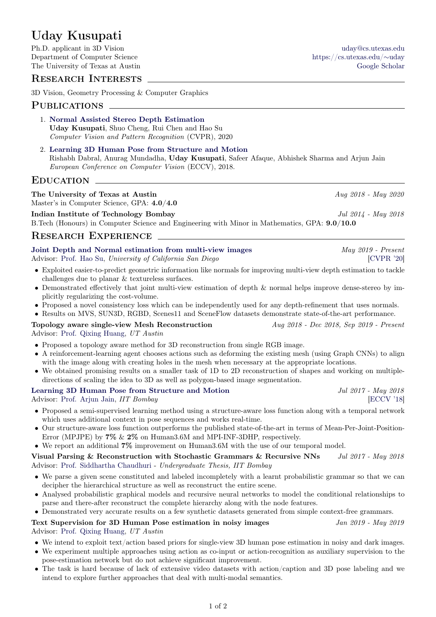# Uday Kusupati

Ph.D. applicant in 3D Vision [uday@cs.utexas.edu](mailto:uday@cs.utexas.edu) Department of Computer Science [https://cs.utexas.edu/](https://cs.utexas.edu/~uday/)∼uday The University of Texas at Austin [Google Scholar](https://scholar.google.co.in/citations?hl=en&user=LX2goiYAAAAJ/&user=LX2goiYAAAAJ) Google Scholar

## Research Interests

3D Vision, Geometry Processing & Computer Graphics

### PUBLICATIONS

- 1. [Normal Assisted Stereo Depth Estimation](https://arxiv.org/pdf/1911.10444.pdf) Uday Kusupati, Shuo Cheng, Rui Chen and Hao Su Computer Vision and Pattern Recognition (CVPR), 2020
- 2. [Learning 3D Human Pose from Structure and Motion](https://www.cse.iitb.ac.in/~rdabral/3DPose/) Rishabh Dabral, Anurag Mundadha, Uday Kusupati, Safeer Afaque, Abhishek Sharma and Arjun Jain European Conference on Computer Vision (ECCV), 2018.

### **EDUCATION**

## The University of Texas at Austin Aug 2018 - May 2020

Master's in Computer Science, GPA: 4.0/4.0

Indian Institute of Technology Bombay Jul 2014 - May 2018 B.Tech (Honours) in Computer Science and Engineering with Minor in Mathematics, GPA: 9.0/10.0

## RESEARCH EXPERIENCE

[Joint Depth and Normal estimation from multi-view images](https://arxiv.org/pdf/1911.10444.pdf) May 2019 - Present Advisor: [Prof. Hao Su,](https://cseweb.ucsd.edu/~haosu/) University of California San Diego [\[CVPR '20\]](https://arxiv.org/pdf/1911.10444.pdf)

- Exploited easier-to-predict geometric information like normals for improving multi-view depth estimation to tackle challenges due to planar & textureless surfaces.
- Demonstrated effectively that joint multi-view estimation of depth & normal helps improve dense-stereo by implicitly regularizing the cost-volume.
- Proposed a novel consistency loss which can be independently used for any depth-refinement that uses normals.
- Results on MVS, SUN3D, RGBD, Scenes11 and SceneFlow datasets demonstrate state-of-the-art performance.

Topology aware single-view Mesh Reconstruction  $Aug 2018 - Dec 2018$ , Sep 2019 - Present Advisor: [Prof. Qixing Huang,](https://cs.utexas.edu/~huangqx/) UT Austin

- Proposed a topology aware method for 3D reconstruction from single RGB image.
- A reinforcement-learning agent chooses actions such as deforming the existing mesh (using Graph CNNs) to align with the image along with creating holes in the mesh when necessary at the appropriate locations.
- We obtained promising results on a smaller task of 1D to 2D reconstruction of shapes and working on multipledirections of scaling the idea to 3D as well as polygon-based image segmentation.

#### [Learning 3D Human Pose from Structure and Motion](https://www.cse.iitb.ac.in/~rdabral/3DPose/) Jul 2017 - May 2018

Advisor: Prof. Ariun Jain, *IIT Bombay* [\[ECCV '18\]](https://arxiv.org/pdf/1711.09250v2.pdf)

- Proposed a semi-supervised learning method using a structure-aware loss function along with a temporal network which uses additional context in pose sequences and works real-time.
- Our structure-aware loss function outperforms the published state-of-the-art in terms of Mean-Per-Joint-Position-Error (MPJPE) by 7% & 2% on Human3.6M and MPI-INF-3DHP, respectively.

• We report an additional  $7\%$  improvement on Human3.6M with the use of our temporal model.

Visual Parsing & Reconstruction with Stochastic Grammars & Recursive NNs  $Jul$  2017 - May 2018 Advisor: [Prof. Siddhartha Chaudhuri](https://www.cse.iitb.ac.in/~sidch/) - Undergraduate Thesis, IIT Bombay

- We parse a given scene constituted and labeled incompletely with a learnt probabilistic grammar so that we can decipher the hierarchical structure as well as reconstruct the entire scene.
- Analysed probabilistic graphical models and recursive neural networks to model the conditional relationships to parse and there-after reconstruct the complete hierarchy along with the node features.

• Demonstrated very accurate results on a few synthetic datasets generated from simple context-free grammars.

#### Text Supervision for 3D Human Pose estimation in noisy images Jan 2019 - May 2019 Advisor: [Prof. Qixing Huang,](https://cs.utexas.edu/~huangqx/) UT Austin

- We intend to exploit text/action based priors for single-view 3D human pose estimation in noisy and dark images.
- We experiment multiple approaches using action as co-input or action-recognition as auxiliary supervision to the pose-estimation network but do not achieve significant improvement.
- The task is hard because of lack of extensive video datasets with action/caption and 3D pose labeling and we intend to explore further approaches that deal with multi-modal semantics.